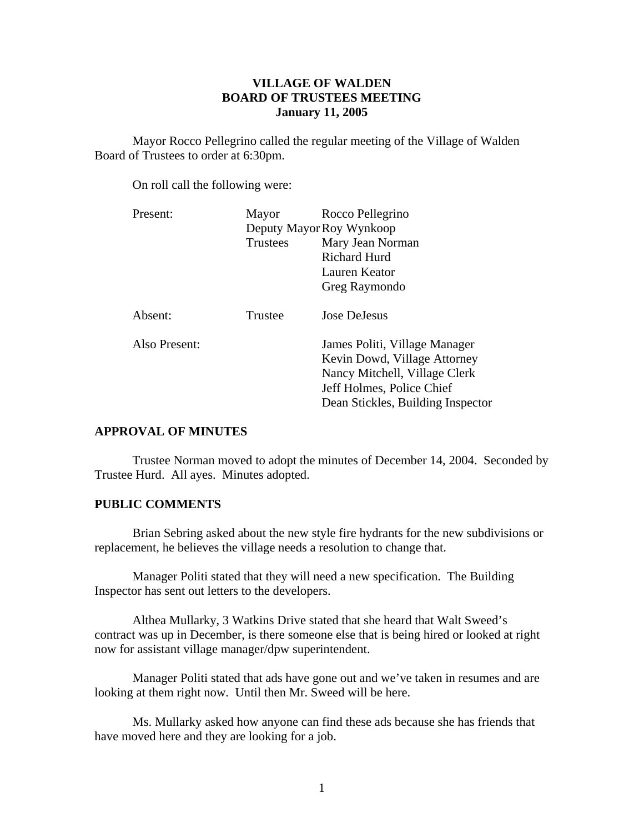## **VILLAGE OF WALDEN BOARD OF TRUSTEES MEETING January 11, 2005**

 Mayor Rocco Pellegrino called the regular meeting of the Village of Walden Board of Trustees to order at 6:30pm.

On roll call the following were:

| Present:      | Mayor    | Rocco Pellegrino                  |  |
|---------------|----------|-----------------------------------|--|
|               |          | Deputy Mayor Roy Wynkoop          |  |
|               | Trustees | Mary Jean Norman                  |  |
|               |          | <b>Richard Hurd</b>               |  |
|               |          | Lauren Keator                     |  |
|               |          | Greg Raymondo                     |  |
| Absent:       | Trustee  | Jose DeJesus                      |  |
| Also Present: |          | James Politi, Village Manager     |  |
|               |          | Kevin Dowd, Village Attorney      |  |
|               |          | Nancy Mitchell, Village Clerk     |  |
|               |          | Jeff Holmes, Police Chief         |  |
|               |          | Dean Stickles, Building Inspector |  |

### **APPROVAL OF MINUTES**

Trustee Norman moved to adopt the minutes of December 14, 2004. Seconded by Trustee Hurd. All ayes. Minutes adopted.

### **PUBLIC COMMENTS**

Brian Sebring asked about the new style fire hydrants for the new subdivisions or replacement, he believes the village needs a resolution to change that.

 Manager Politi stated that they will need a new specification. The Building Inspector has sent out letters to the developers.

 Althea Mullarky, 3 Watkins Drive stated that she heard that Walt Sweed's contract was up in December, is there someone else that is being hired or looked at right now for assistant village manager/dpw superintendent.

 Manager Politi stated that ads have gone out and we've taken in resumes and are looking at them right now. Until then Mr. Sweed will be here.

 Ms. Mullarky asked how anyone can find these ads because she has friends that have moved here and they are looking for a job.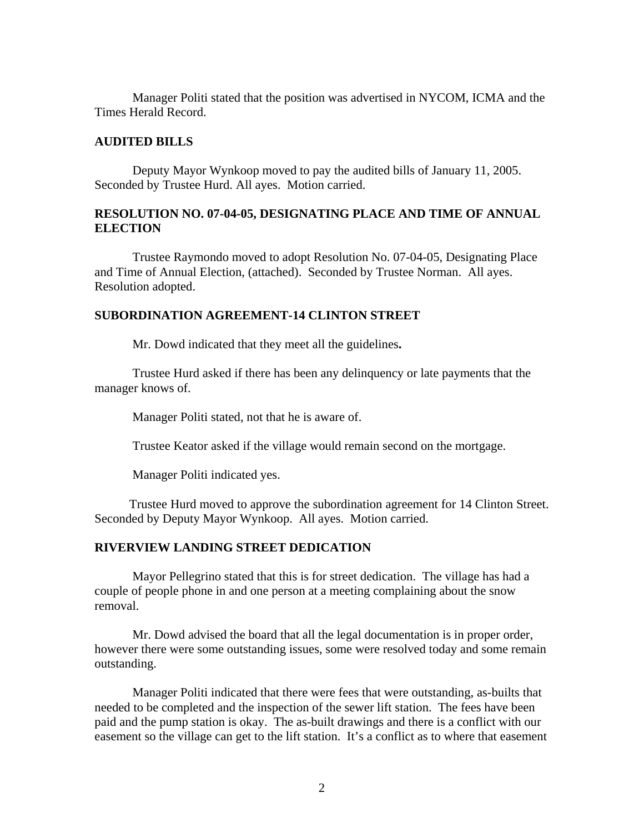Manager Politi stated that the position was advertised in NYCOM, ICMA and the Times Herald Record.

## **AUDITED BILLS**

Deputy Mayor Wynkoop moved to pay the audited bills of January 11, 2005. Seconded by Trustee Hurd. All ayes. Motion carried.

# **RESOLUTION NO. 07-04-05, DESIGNATING PLACE AND TIME OF ANNUAL ELECTION**

 Trustee Raymondo moved to adopt Resolution No. 07-04-05, Designating Place and Time of Annual Election, (attached). Seconded by Trustee Norman. All ayes. Resolution adopted.

## **SUBORDINATION AGREEMENT-14 CLINTON STREET**

Mr. Dowd indicated that they meet all the guidelines**.** 

Trustee Hurd asked if there has been any delinquency or late payments that the manager knows of.

Manager Politi stated, not that he is aware of.

Trustee Keator asked if the village would remain second on the mortgage.

Manager Politi indicated yes.

Trustee Hurd moved to approve the subordination agreement for 14 Clinton Street. Seconded by Deputy Mayor Wynkoop. All ayes. Motion carried.

#### **RIVERVIEW LANDING STREET DEDICATION**

Mayor Pellegrino stated that this is for street dedication. The village has had a couple of people phone in and one person at a meeting complaining about the snow removal.

Mr. Dowd advised the board that all the legal documentation is in proper order, however there were some outstanding issues, some were resolved today and some remain outstanding.

 Manager Politi indicated that there were fees that were outstanding, as-builts that needed to be completed and the inspection of the sewer lift station. The fees have been paid and the pump station is okay. The as-built drawings and there is a conflict with our easement so the village can get to the lift station. It's a conflict as to where that easement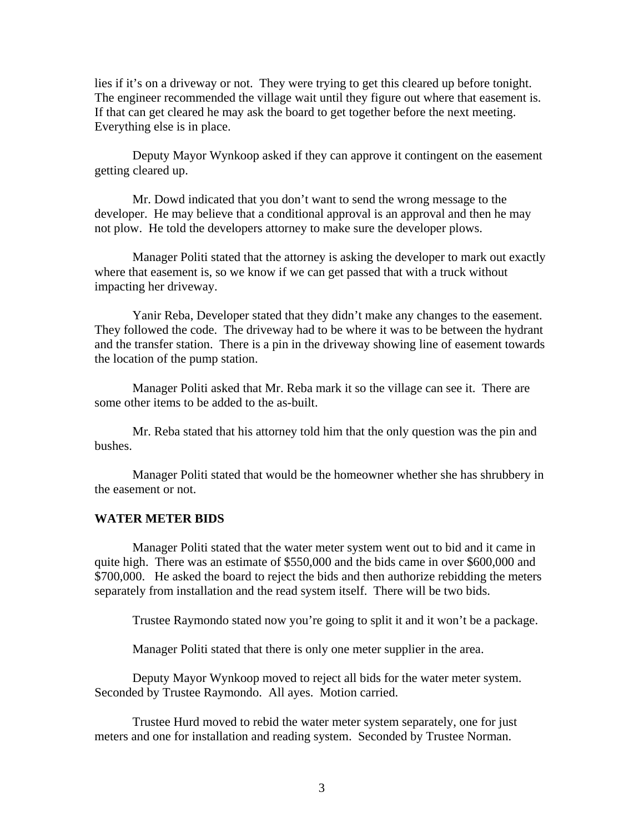lies if it's on a driveway or not. They were trying to get this cleared up before tonight. The engineer recommended the village wait until they figure out where that easement is. If that can get cleared he may ask the board to get together before the next meeting. Everything else is in place.

 Deputy Mayor Wynkoop asked if they can approve it contingent on the easement getting cleared up.

 Mr. Dowd indicated that you don't want to send the wrong message to the developer. He may believe that a conditional approval is an approval and then he may not plow. He told the developers attorney to make sure the developer plows.

 Manager Politi stated that the attorney is asking the developer to mark out exactly where that easement is, so we know if we can get passed that with a truck without impacting her driveway.

 Yanir Reba, Developer stated that they didn't make any changes to the easement. They followed the code. The driveway had to be where it was to be between the hydrant and the transfer station. There is a pin in the driveway showing line of easement towards the location of the pump station.

 Manager Politi asked that Mr. Reba mark it so the village can see it. There are some other items to be added to the as-built.

 Mr. Reba stated that his attorney told him that the only question was the pin and bushes.

 Manager Politi stated that would be the homeowner whether she has shrubbery in the easement or not.

#### **WATER METER BIDS**

Manager Politi stated that the water meter system went out to bid and it came in quite high. There was an estimate of \$550,000 and the bids came in over \$600,000 and \$700,000. He asked the board to reject the bids and then authorize rebidding the meters separately from installation and the read system itself. There will be two bids.

Trustee Raymondo stated now you're going to split it and it won't be a package.

Manager Politi stated that there is only one meter supplier in the area.

 Deputy Mayor Wynkoop moved to reject all bids for the water meter system. Seconded by Trustee Raymondo. All ayes. Motion carried.

 Trustee Hurd moved to rebid the water meter system separately, one for just meters and one for installation and reading system. Seconded by Trustee Norman.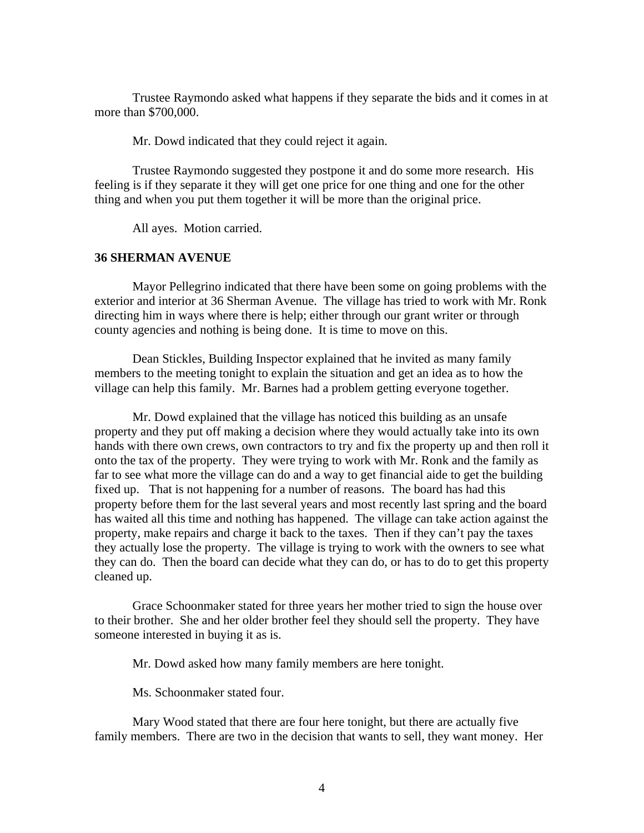Trustee Raymondo asked what happens if they separate the bids and it comes in at more than \$700,000.

Mr. Dowd indicated that they could reject it again.

 Trustee Raymondo suggested they postpone it and do some more research. His feeling is if they separate it they will get one price for one thing and one for the other thing and when you put them together it will be more than the original price.

All ayes. Motion carried.

## **36 SHERMAN AVENUE**

Mayor Pellegrino indicated that there have been some on going problems with the exterior and interior at 36 Sherman Avenue. The village has tried to work with Mr. Ronk directing him in ways where there is help; either through our grant writer or through county agencies and nothing is being done. It is time to move on this.

 Dean Stickles, Building Inspector explained that he invited as many family members to the meeting tonight to explain the situation and get an idea as to how the village can help this family. Mr. Barnes had a problem getting everyone together.

 Mr. Dowd explained that the village has noticed this building as an unsafe property and they put off making a decision where they would actually take into its own hands with there own crews, own contractors to try and fix the property up and then roll it onto the tax of the property. They were trying to work with Mr. Ronk and the family as far to see what more the village can do and a way to get financial aide to get the building fixed up. That is not happening for a number of reasons. The board has had this property before them for the last several years and most recently last spring and the board has waited all this time and nothing has happened. The village can take action against the property, make repairs and charge it back to the taxes. Then if they can't pay the taxes they actually lose the property. The village is trying to work with the owners to see what they can do. Then the board can decide what they can do, or has to do to get this property cleaned up.

 Grace Schoonmaker stated for three years her mother tried to sign the house over to their brother. She and her older brother feel they should sell the property. They have someone interested in buying it as is.

Mr. Dowd asked how many family members are here tonight.

Ms. Schoonmaker stated four.

 Mary Wood stated that there are four here tonight, but there are actually five family members. There are two in the decision that wants to sell, they want money. Her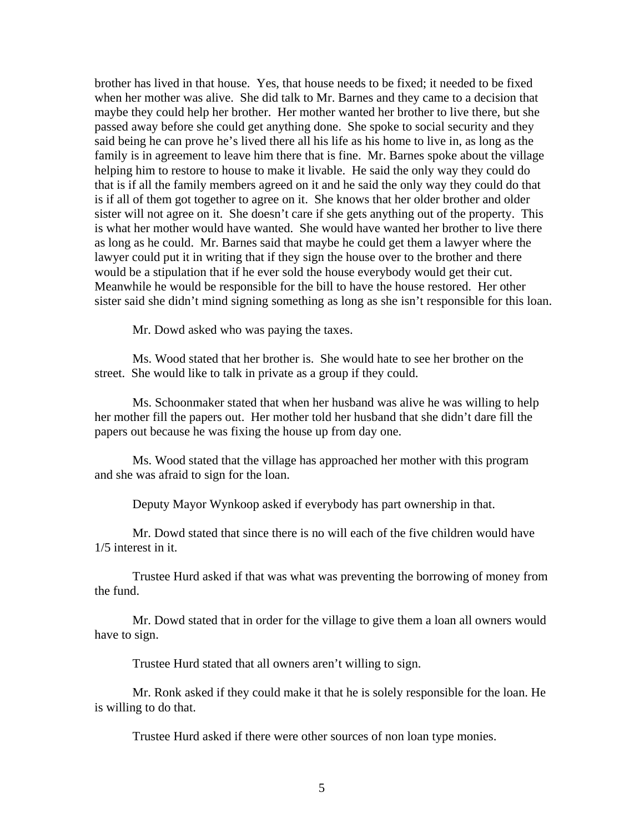brother has lived in that house. Yes, that house needs to be fixed; it needed to be fixed when her mother was alive. She did talk to Mr. Barnes and they came to a decision that maybe they could help her brother. Her mother wanted her brother to live there, but she passed away before she could get anything done. She spoke to social security and they said being he can prove he's lived there all his life as his home to live in, as long as the family is in agreement to leave him there that is fine. Mr. Barnes spoke about the village helping him to restore to house to make it livable. He said the only way they could do that is if all the family members agreed on it and he said the only way they could do that is if all of them got together to agree on it. She knows that her older brother and older sister will not agree on it. She doesn't care if she gets anything out of the property. This is what her mother would have wanted. She would have wanted her brother to live there as long as he could. Mr. Barnes said that maybe he could get them a lawyer where the lawyer could put it in writing that if they sign the house over to the brother and there would be a stipulation that if he ever sold the house everybody would get their cut. Meanwhile he would be responsible for the bill to have the house restored. Her other sister said she didn't mind signing something as long as she isn't responsible for this loan.

Mr. Dowd asked who was paying the taxes.

 Ms. Wood stated that her brother is. She would hate to see her brother on the street. She would like to talk in private as a group if they could.

 Ms. Schoonmaker stated that when her husband was alive he was willing to help her mother fill the papers out. Her mother told her husband that she didn't dare fill the papers out because he was fixing the house up from day one.

 Ms. Wood stated that the village has approached her mother with this program and she was afraid to sign for the loan.

Deputy Mayor Wynkoop asked if everybody has part ownership in that.

 Mr. Dowd stated that since there is no will each of the five children would have 1/5 interest in it.

 Trustee Hurd asked if that was what was preventing the borrowing of money from the fund.

 Mr. Dowd stated that in order for the village to give them a loan all owners would have to sign.

Trustee Hurd stated that all owners aren't willing to sign.

 Mr. Ronk asked if they could make it that he is solely responsible for the loan. He is willing to do that.

Trustee Hurd asked if there were other sources of non loan type monies.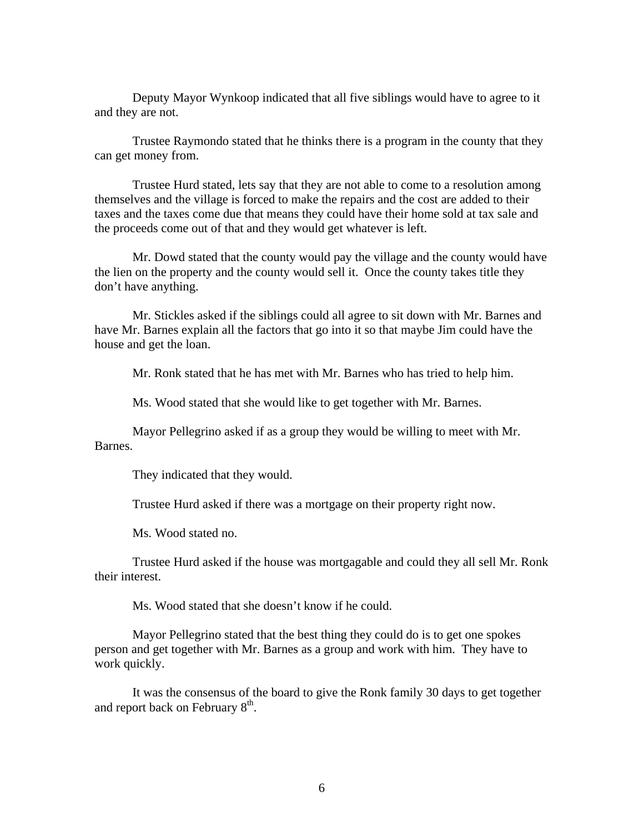Deputy Mayor Wynkoop indicated that all five siblings would have to agree to it and they are not.

 Trustee Raymondo stated that he thinks there is a program in the county that they can get money from.

 Trustee Hurd stated, lets say that they are not able to come to a resolution among themselves and the village is forced to make the repairs and the cost are added to their taxes and the taxes come due that means they could have their home sold at tax sale and the proceeds come out of that and they would get whatever is left.

 Mr. Dowd stated that the county would pay the village and the county would have the lien on the property and the county would sell it. Once the county takes title they don't have anything.

 Mr. Stickles asked if the siblings could all agree to sit down with Mr. Barnes and have Mr. Barnes explain all the factors that go into it so that maybe Jim could have the house and get the loan.

Mr. Ronk stated that he has met with Mr. Barnes who has tried to help him.

Ms. Wood stated that she would like to get together with Mr. Barnes.

 Mayor Pellegrino asked if as a group they would be willing to meet with Mr. Barnes.

They indicated that they would.

Trustee Hurd asked if there was a mortgage on their property right now.

Ms. Wood stated no.

 Trustee Hurd asked if the house was mortgagable and could they all sell Mr. Ronk their interest.

Ms. Wood stated that she doesn't know if he could.

 Mayor Pellegrino stated that the best thing they could do is to get one spokes person and get together with Mr. Barnes as a group and work with him. They have to work quickly.

 It was the consensus of the board to give the Ronk family 30 days to get together and report back on February  $8<sup>th</sup>$ .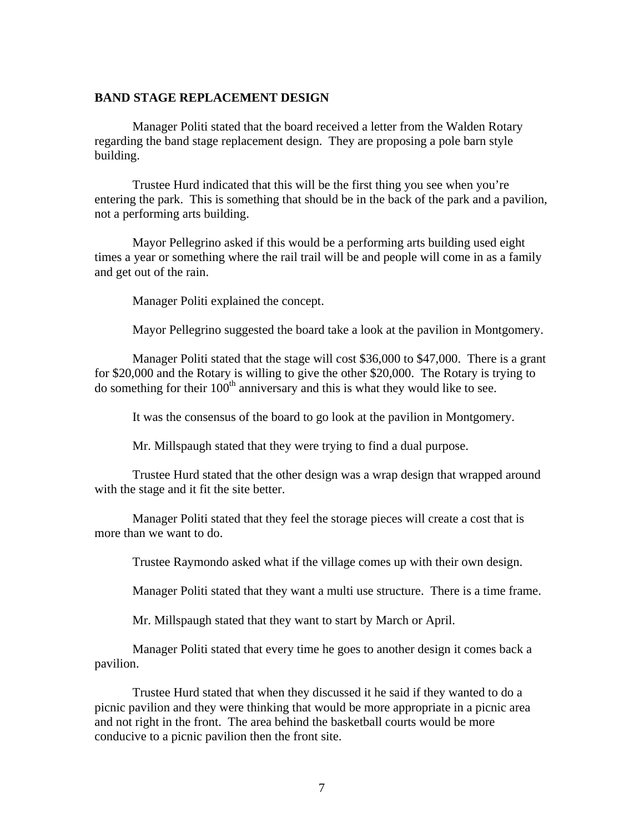### **BAND STAGE REPLACEMENT DESIGN**

Manager Politi stated that the board received a letter from the Walden Rotary regarding the band stage replacement design. They are proposing a pole barn style building.

 Trustee Hurd indicated that this will be the first thing you see when you're entering the park. This is something that should be in the back of the park and a pavilion, not a performing arts building.

 Mayor Pellegrino asked if this would be a performing arts building used eight times a year or something where the rail trail will be and people will come in as a family and get out of the rain.

Manager Politi explained the concept.

Mayor Pellegrino suggested the board take a look at the pavilion in Montgomery.

 Manager Politi stated that the stage will cost \$36,000 to \$47,000. There is a grant for \$20,000 and the Rotary is willing to give the other \$20,000. The Rotary is trying to do something for their  $100<sup>th</sup>$  anniversary and this is what they would like to see.

It was the consensus of the board to go look at the pavilion in Montgomery.

Mr. Millspaugh stated that they were trying to find a dual purpose.

 Trustee Hurd stated that the other design was a wrap design that wrapped around with the stage and it fit the site better.

 Manager Politi stated that they feel the storage pieces will create a cost that is more than we want to do.

Trustee Raymondo asked what if the village comes up with their own design.

Manager Politi stated that they want a multi use structure. There is a time frame.

Mr. Millspaugh stated that they want to start by March or April.

 Manager Politi stated that every time he goes to another design it comes back a pavilion.

 Trustee Hurd stated that when they discussed it he said if they wanted to do a picnic pavilion and they were thinking that would be more appropriate in a picnic area and not right in the front. The area behind the basketball courts would be more conducive to a picnic pavilion then the front site.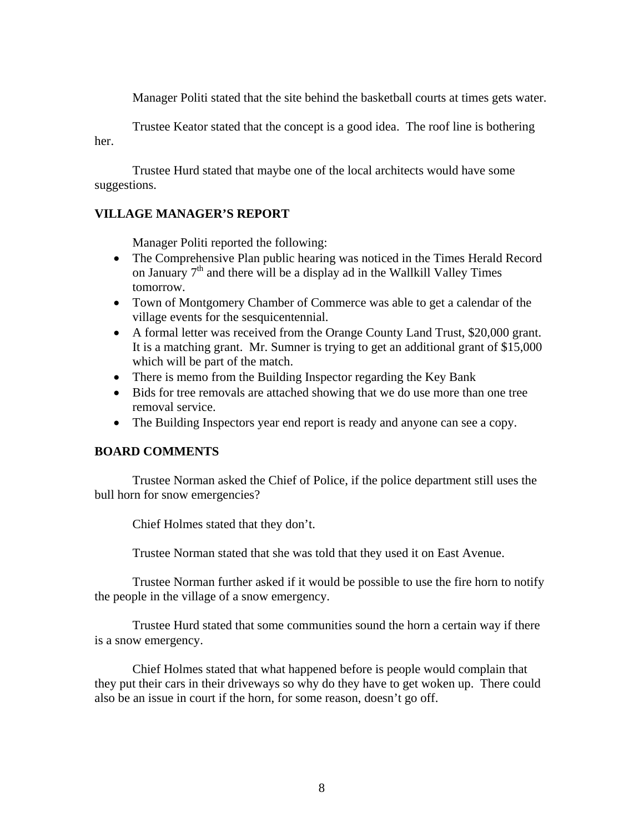Manager Politi stated that the site behind the basketball courts at times gets water.

 Trustee Keator stated that the concept is a good idea. The roof line is bothering her.

Trustee Hurd stated that maybe one of the local architects would have some suggestions.

## **VILLAGE MANAGER'S REPORT**

Manager Politi reported the following:

- The Comprehensive Plan public hearing was noticed in the Times Herald Record on January 7<sup>th</sup> and there will be a display ad in the Wallkill Valley Times tomorrow.
- Town of Montgomery Chamber of Commerce was able to get a calendar of the village events for the sesquicentennial.
- A formal letter was received from the Orange County Land Trust, \$20,000 grant. It is a matching grant. Mr. Sumner is trying to get an additional grant of \$15,000 which will be part of the match.
- There is memo from the Building Inspector regarding the Key Bank
- Bids for tree removals are attached showing that we do use more than one tree removal service.
- The Building Inspectors year end report is ready and anyone can see a copy.

## **BOARD COMMENTS**

 Trustee Norman asked the Chief of Police, if the police department still uses the bull horn for snow emergencies?

Chief Holmes stated that they don't.

Trustee Norman stated that she was told that they used it on East Avenue.

 Trustee Norman further asked if it would be possible to use the fire horn to notify the people in the village of a snow emergency.

 Trustee Hurd stated that some communities sound the horn a certain way if there is a snow emergency.

 Chief Holmes stated that what happened before is people would complain that they put their cars in their driveways so why do they have to get woken up. There could also be an issue in court if the horn, for some reason, doesn't go off.